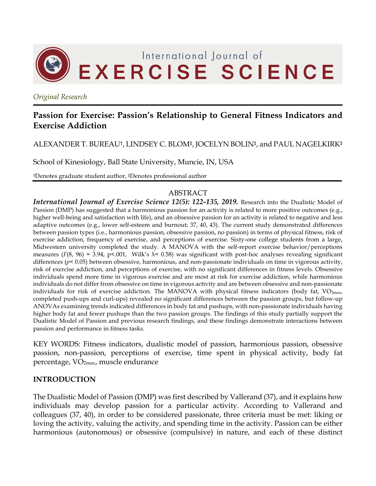

*Original Research*

# **Passion for Exercise: Passion's Relationship to General Fitness Indicators and Exercise Addiction**

ALEXANDER T. BUREAU†, LINDSEY C. BLOM‡, JOCELYN BOLIN‡, and PAUL NAGELKIRK‡

School of Kinesiology, Ball State University, Muncie, IN, USA

†Denotes graduate student author, ‡Denotes professional author

#### ABSTRACT

*International Journal of Exercise Science 12(5): 122-135, 2019.* Research into the Dualistic Model of Passion (DMP) has suggested that a harmonious passion for an activity is related to more positive outcomes (e.g., higher well-being and satisfaction with life), and an obsessive passion for an activity is related to negative and less adaptive outcomes (e.g., lower self-esteem and burnout; 37, 40, 43). The current study demonstrated differences between passion types (i.e., harmonious passion, obsessive passion, no passion) in terms of physical fitness, risk of exercise addiction, frequency of exercise, and perceptions of exercise. Sixty-one college students from a large, Midwestern university completed the study. A MANOVA with the self-report exercise behavior/perceptions measures ( $F(8, 96) = 3.94$ ,  $p \le 0.001$ , Wilk's  $\lambda = 0.58$ ) was significant with post-hoc analyses revealing significant differences (*p<* 0.05) between obsessive, harmonious, and non-passionate individuals on time in vigorous activity, risk of exercise addiction, and perceptions of exercise, with no significant differences in fitness levels. Obsessive individuals spend more time in vigorous exercise and are most at risk for exercise addiction, while harmonious individuals do not differ from obsessive on time in vigorous activity and are between obsessive and non-passionate individuals for risk of exercise addiction. The MANOVA with physical fitness indicators (body fat,  $VO_{2max}$ , completed push-ups and curl-ups) revealed no significant differences between the passion groups, but follow-up ANOVAs examining trends indicated differences in body fat and pushups, with non-passionate individuals having higher body fat and fewer pushups than the two passion groups. The findings of this study partially support the Dualistic Model of Passion and previous research findings, and these findings demonstrate interactions between passion and performance in fitness tasks.

KEY WORDS: Fitness indicators, dualistic model of passion, harmonious passion, obsessive passion, non-passion, perceptions of exercise, time spent in physical activity, body fat percentage, VO2max, muscle endurance

#### **INTRODUCTION**

The Dualistic Model of Passion (DMP) was first described by Vallerand (37), and it explains how individuals may develop passion for a particular activity. According to Vallerand and colleagues (37, 40), in order to be considered passionate, three criteria must be met: liking or loving the activity, valuing the activity, and spending time in the activity. Passion can be either harmonious (autonomous) or obsessive (compulsive) in nature, and each of these distinct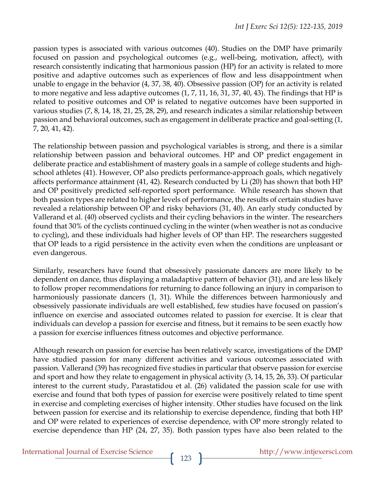passion types is associated with various outcomes (40). Studies on the DMP have primarily focused on passion and psychological outcomes (e.g., well-being, motivation, affect), with research consistently indicating that harmonious passion (HP) for an activity is related to more positive and adaptive outcomes such as experiences of flow and less disappointment when unable to engage in the behavior (4, 37, 38, 40). Obsessive passion (OP) for an activity is related to more negative and less adaptive outcomes (1, 7, 11, 16, 31, 37, 40, 43). The findings that HP is related to positive outcomes and OP is related to negative outcomes have been supported in various studies (7, 8, 14, 18, 21, 25, 28, 29), and research indicates a similar relationship between passion and behavioral outcomes, such as engagement in deliberate practice and goal-setting (1, 7, 20, 41, 42).

The relationship between passion and psychological variables is strong, and there is a similar relationship between passion and behavioral outcomes. HP and OP predict engagement in deliberate practice and establishment of mastery goals in a sample of college students and highschool athletes (41). However, OP also predicts performance-approach goals, which negatively affects performance attainment (41, 42). Research conducted by Li (20) has shown that both HP and OP positively predicted self-reported sport performance. While research has shown that both passion types are related to higher levels of performance, the results of certain studies have revealed a relationship between OP and risky behaviors (31, 40). An early study conducted by Vallerand et al. (40) observed cyclists and their cycling behaviors in the winter. The researchers found that 30% of the cyclists continued cycling in the winter (when weather is not as conducive to cycling), and these individuals had higher levels of OP than HP. The researchers suggested that OP leads to a rigid persistence in the activity even when the conditions are unpleasant or even dangerous.

Similarly, researchers have found that obsessively passionate dancers are more likely to be dependent on dance, thus displaying a maladaptive pattern of behavior (31), and are less likely to follow proper recommendations for returning to dance following an injury in comparison to harmoniously passionate dancers (1, 31). While the differences between harmoniously and obsessively passionate individuals are well established, few studies have focused on passion's influence on exercise and associated outcomes related to passion for exercise. It is clear that individuals can develop a passion for exercise and fitness, but it remains to be seen exactly how a passion for exercise influences fitness outcomes and objective performance.

Although research on passion for exercise has been relatively scarce, investigations of the DMP have studied passion for many different activities and various outcomes associated with passion. Vallerand (39) has recognized five studies in particular that observe passion for exercise and sport and how they relate to engagement in physical activity (3, 14, 15, 26, 33). Of particular interest to the current study, Parastatidou et al. (26) validated the passion scale for use with exercise and found that both types of passion for exercise were positively related to time spent in exercise and completing exercises of higher intensity. Other studies have focused on the link between passion for exercise and its relationship to exercise dependence, finding that both HP and OP were related to experiences of exercise dependence, with OP more strongly related to exercise dependence than HP (24, 27, 35). Both passion types have also been related to the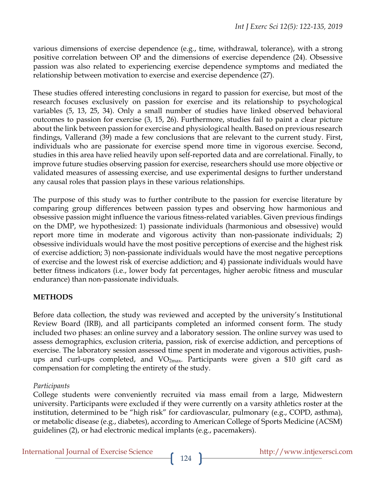various dimensions of exercise dependence (e.g., time, withdrawal, tolerance), with a strong positive correlation between OP and the dimensions of exercise dependence (24). Obsessive passion was also related to experiencing exercise dependence symptoms and mediated the relationship between motivation to exercise and exercise dependence (27).

These studies offered interesting conclusions in regard to passion for exercise, but most of the research focuses exclusively on passion for exercise and its relationship to psychological variables (5, 13, 25, 34). Only a small number of studies have linked observed behavioral outcomes to passion for exercise (3, 15, 26). Furthermore, studies fail to paint a clear picture about the link between passion for exercise and physiological health. Based on previous research findings, Vallerand (39) made a few conclusions that are relevant to the current study. First, individuals who are passionate for exercise spend more time in vigorous exercise. Second, studies in this area have relied heavily upon self-reported data and are correlational. Finally, to improve future studies observing passion for exercise, researchers should use more objective or validated measures of assessing exercise, and use experimental designs to further understand any causal roles that passion plays in these various relationships.

The purpose of this study was to further contribute to the passion for exercise literature by comparing group differences between passion types and observing how harmonious and obsessive passion might influence the various fitness-related variables. Given previous findings on the DMP, we hypothesized: 1) passionate individuals (harmonious and obsessive) would report more time in moderate and vigorous activity than non-passionate individuals; 2) obsessive individuals would have the most positive perceptions of exercise and the highest risk of exercise addiction; 3) non-passionate individuals would have the most negative perceptions of exercise and the lowest risk of exercise addiction; and 4) passionate individuals would have better fitness indicators (i.e., lower body fat percentages, higher aerobic fitness and muscular endurance) than non-passionate individuals.

# **METHODS**

Before data collection, the study was reviewed and accepted by the university's Institutional Review Board (IRB), and all participants completed an informed consent form. The study included two phases: an online survey and a laboratory session. The online survey was used to assess demographics, exclusion criteria, passion, risk of exercise addiction, and perceptions of exercise. The laboratory session assessed time spent in moderate and vigorous activities, pushups and curl-ups completed, and VO2max. Participants were given a \$10 gift card as compensation for completing the entirety of the study.

# *Participants*

College students were conveniently recruited via mass email from a large, Midwestern university. Participants were excluded if they were currently on a varsity athletics roster at the institution, determined to be "high risk" for cardiovascular, pulmonary (e.g., COPD, asthma), or metabolic disease (e.g., diabetes), according to American College of Sports Medicine (ACSM) guidelines (2), or had electronic medical implants (e.g., pacemakers).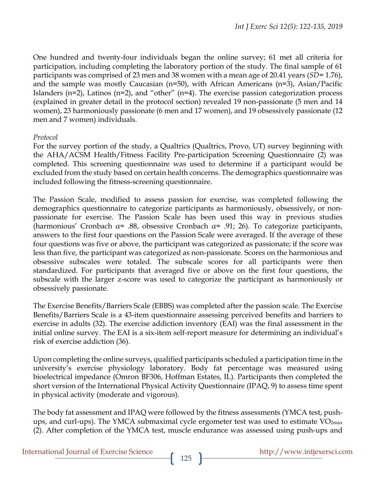One hundred and twenty-four individuals began the online survey; 61 met all criteria for participation, including completing the laboratory portion of the study. The final sample of 61 participants was comprised of 23 men and 38 women with a mean age of 20.41 years (*SD=* 1.76), and the sample was mostly Caucasian (n=50), with African Americans (n=3), Asian/Pacific Islanders ( $n=2$ ), Latinos ( $n=2$ ), and "other" ( $n=4$ ). The exercise passion categorization process (explained in greater detail in the protocol section) revealed 19 non-passionate (5 men and 14 women), 23 harmoniously passionate (6 men and 17 women), and 19 obsessively passionate (12 men and 7 women) individuals.

#### *Protocol*

For the survey portion of the study, a Qualtrics (Qualtrics, Provo, UT) survey beginning with the AHA/ACSM Health/Fitness Facility Pre-participation Screening Questionnaire (2) was completed. This screening questionnaire was used to determine if a participant would be excluded from the study based on certain health concerns. The demographics questionnaire was included following the fitness-screening questionnaire.

The Passion Scale, modified to assess passion for exercise, was completed following the demographics questionnaire to categorize participants as harmoniously, obsessively, or nonpassionate for exercise. The Passion Scale has been used this way in previous studies (harmonious' Cronbach α= .88, obsessive Cronbach α= .91; 26). To categorize participants, answers to the first four questions on the Passion Scale were averaged. If the average of these four questions was five or above, the participant was categorized as passionate; if the score was less than five, the participant was categorized as non-passionate. Scores on the harmonious and obsessive subscales were totaled. The subscale scores for all participants were then standardized. For participants that averaged five or above on the first four questions, the subscale with the larger z-score was used to categorize the participant as harmoniously or obsessively passionate.

The Exercise Benefits/Barriers Scale (EBBS) was completed after the passion scale. The Exercise Benefits/Barriers Scale is a 43-item questionnaire assessing perceived benefits and barriers to exercise in adults (32). The exercise addiction inventory (EAI) was the final assessment in the initial online survey. The EAI is a six-item self-report measure for determining an individual's risk of exercise addiction (36).

Upon completing the online surveys, qualified participants scheduled a participation time in the university's exercise physiology laboratory. Body fat percentage was measured using bioelectrical impedance (Omron BF306, Hoffman Estates, IL). Participants then completed the short version of the International Physical Activity Questionnaire (IPAQ, 9) to assess time spent in physical activity (moderate and vigorous).

The body fat assessment and IPAQ were followed by the fitness assessments (YMCA test, pushups, and curl-ups). The YMCA submaximal cycle ergometer test was used to estimate  $VO<sub>2max</sub>$ (2). After completion of the YMCA test, muscle endurance was assessed using push-ups and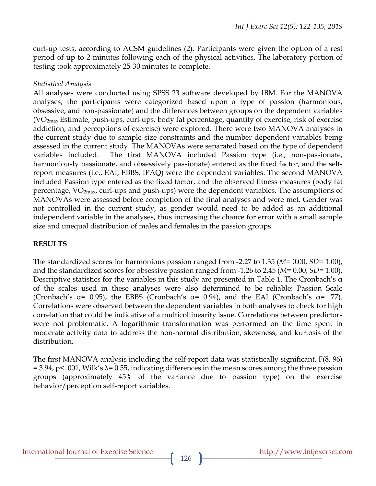curl-up tests, according to ACSM guidelines (2). Participants were given the option of a rest period of up to 2 minutes following each of the physical activities. The laboratory portion of testing took approximately 25-30 minutes to complete.

#### *Statistical Analysis*

All analyses were conducted using SPSS 23 software developed by IBM. For the MANOVA analyses, the participants were categorized based upon a type of passion (harmonious, obsessive, and non-passionate) and the differences between groups on the dependent variables (VO2max Estimate, push-ups, curl-ups, body fat percentage, quantity of exercise, risk of exercise addiction, and perceptions of exercise) were explored. There were two MANOVA analyses in the current study due to sample size constraints and the number dependent variables being assessed in the current study. The MANOVAs were separated based on the type of dependent variables included. The first MANOVA included Passion type (i.e., non-passionate, harmoniously passionate, and obsessively passionate) entered as the fixed factor, and the selfreport measures (i.e., EAI, EBBS, IPAQ) were the dependent variables. The second MANOVA included Passion type entered as the fixed factor, and the observed fitness measures (body fat percentage,  $VO_{2max}$ , curl-ups and push-ups) were the dependent variables. The assumptions of MANOVAs were assessed before completion of the final analyses and were met. Gender was not controlled in the current study, as gender would need to be added as an additional independent variable in the analyses, thus increasing the chance for error with a small sample size and unequal distribution of males and females in the passion groups.

# **RESULTS**

The standardized scores for harmonious passion ranged from -2.27 to 1.35 (*M=* 0.00, *SD=* 1.00), and the standardized scores for obsessive passion ranged from -1.26 to 2.45 (*M=* 0.00, *SD=* 1.00). Descriptive statistics for the variables in this study are presented in Table 1. The Cronbach's α of the scales used in these analyses were also determined to be reliable: Passion Scale (Cronbach's  $\alpha$ = 0.95), the EBBS (Cronbach's  $\alpha$ = 0.94), and the EAI (Cronbach's  $\alpha$ = .77). Correlations were observed between the dependent variables in both analyses to check for high correlation that could be indicative of a multicollinearity issue. Correlations between predictors were not problematic. A logarithmic transformation was performed on the time spent in moderate activity data to address the non-normal distribution, skewness, and kurtosis of the distribution.

The first MANOVA analysis including the self-report data was statistically significant, F(8, 96)  $= 3.94$ , p< .001, Wilk's  $\lambda = 0.55$ , indicating differences in the mean scores among the three passion groups (approximately 45% of the variance due to passion type) on the exercise behavior/perception self-report variables.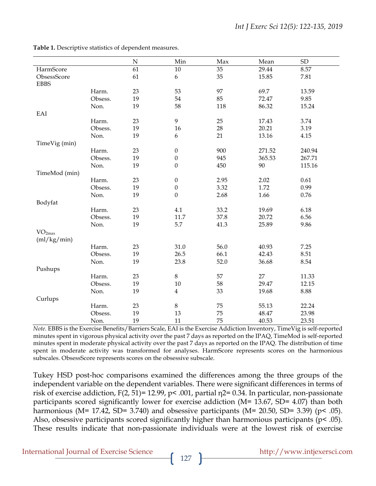|                    |         | ${\bf N}$ | Min                     | Max  | Mean   | ${\rm SD}$ |
|--------------------|---------|-----------|-------------------------|------|--------|------------|
| HarmScore          |         | 61        | $10\,$                  | 35   | 29.44  | 8.57       |
| ObsessScore        |         | 61        | $\boldsymbol{6}$        | 35   | 15.85  | 7.81       |
| <b>EBBS</b>        |         |           |                         |      |        |            |
|                    | Harm.   | 23        | 53                      | 97   | 69.7   | 13.59      |
|                    | Obsess. | 19        | 54                      | 85   | 72.47  | 9.85       |
|                    | Non.    | 19        | 58                      | 118  | 86.32  | 15.24      |
| EAI                |         |           |                         |      |        |            |
|                    | Harm.   | 23        | $\boldsymbol{9}$        | 25   | 17.43  | 3.74       |
|                    | Obsess. | 19        | 16                      | 28   | 20.21  | 3.19       |
|                    | Non.    | 19        | 6                       | 21   | 13.16  | 4.15       |
| TimeVig (min)      |         |           |                         |      |        |            |
|                    | Harm.   | 23        | $\boldsymbol{0}$        | 900  | 271.52 | 240.94     |
|                    | Obsess. | 19        | $\boldsymbol{0}$        | 945  | 365.53 | 267.71     |
|                    | Non.    | 19        | $\boldsymbol{0}$        | 450  | 90     | 115.16     |
| TimeMod (min)      |         |           |                         |      |        |            |
|                    | Harm.   | 23        | $\boldsymbol{0}$        | 2.95 | 2.02   | 0.61       |
|                    | Obsess. | 19        | $\boldsymbol{0}$        | 3.32 | 1.72   | 0.99       |
|                    | Non.    | 19        | $\boldsymbol{0}$        | 2.68 | 1.66   | 0.76       |
| Bodyfat            |         |           |                         |      |        |            |
|                    | Harm.   | 23        | 4.1                     | 33.2 | 19.69  | 6.18       |
|                    | Obsess. | 19        | $11.7\,$                | 37.8 | 20.72  | 6.56       |
|                    | Non.    | 19        | 5.7                     | 41.3 | 25.89  | 9.86       |
| VO <sub>2max</sub> |         |           |                         |      |        |            |
| (ml/kg/min)        |         |           |                         |      |        |            |
|                    | Harm.   | 23        | 31.0                    | 56.0 | 40.93  | 7.25       |
|                    | Obsess. | 19        | 26.5                    | 66.1 | 42.43  | 8.51       |
|                    | Non.    | 19        | 23.8                    | 52.0 | 36.68  | 8.54       |
| Pushups            |         |           |                         |      |        |            |
|                    | Harm.   | 23        | $\,8\,$                 | 57   | 27     | 11.33      |
|                    | Obsess. | 19        | $10\,$                  | 58   | 29.47  | 12.15      |
|                    | Non.    | 19        | $\overline{\mathbf{4}}$ | 33   | 19.68  | 8.88       |
| Curlups            |         |           |                         |      |        |            |
|                    | Harm.   | 23        | $\,8\,$                 | 75   | 55.13  | 22.24      |
|                    | Obsess. | 19        | 13                      | 75   | 48.47  | 23.98      |
|                    | Non.    | 19        | 11                      | 75   | 40.53  | 23.51      |

**Table 1.** Descriptive statistics of dependent measures.

*Note.* EBBS is the Exercise Benefits/Barriers Scale, EAI is the Exercise Addiction Inventory, TimeVig is self-reported minutes spent in vigorous physical activity over the past 7 days as reported on the IPAQ, TimeMod is self-reported minutes spent in moderate physical activity over the past 7 days as reported on the IPAQ. The distribution of time spent in moderate activity was transformed for analyses. HarmScore represents scores on the harmonious subscales. ObsessScore represents scores on the obsessive subscale.

Tukey HSD post-hoc comparisons examined the differences among the three groups of the independent variable on the dependent variables. There were significant differences in terms of risk of exercise addiction, F(2, 51)= 12.99, p< .001, partial η2= 0.34. In particular, non-passionate participants scored significantly lower for exercise addiction (M= 13.67, SD= 4.07) than both harmonious (M= 17.42, SD= 3.740) and obsessive participants (M= 20.50, SD= 3.39) ( $p$ < .05). Also, obsessive participants scored significantly higher than harmonious participants (p< .05). These results indicate that non-passionate individuals were at the lowest risk of exercise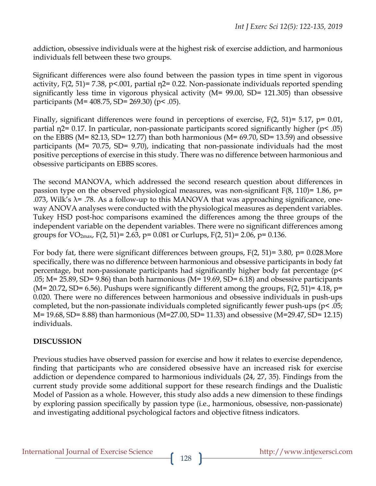addiction, obsessive individuals were at the highest risk of exercise addiction, and harmonious individuals fell between these two groups.

Significant differences were also found between the passion types in time spent in vigorous activity,  $F(2, 51) = 7.38$ ,  $p < .001$ , partial  $p = 0.22$ . Non-passionate individuals reported spending significantly less time in vigorous physical activity (M= 99.00, SD= 121.305) than obsessive participants (M= 408.75, SD= 269.30) (p< .05).

Finally, significant differences were found in perceptions of exercise, F(2, 51)= 5.17, p= 0.01, partial η2= 0.17. In particular, non-passionate participants scored significantly higher (p< .05) on the EBBS (M= 82.13, SD= 12.77) than both harmonious (M= 69.70, SD= 13.59) and obsessive participants (M= 70.75, SD= 9.70), indicating that non-passionate individuals had the most positive perceptions of exercise in this study. There was no difference between harmonious and obsessive participants on EBBS scores.

The second MANOVA, which addressed the second research question about differences in passion type on the observed physiological measures, was non-significant  $F(8, 110)=1.86$ , p= .073, Wilk's  $\lambda$ = .78. As a follow-up to this MANOVA that was approaching significance, oneway ANOVA analyses were conducted with the physiological measures as dependent variables. Tukey HSD post-hoc comparisons examined the differences among the three groups of the independent variable on the dependent variables. There were no significant differences among groups for VO<sub>2max</sub>, F(2, 51)= 2.63, p= 0.081 or Curlups, F(2, 51)= 2.06, p= 0.136.

For body fat, there were significant differences between groups,  $F(2, 51) = 3.80$ ,  $p = 0.028$ . More specifically, there was no difference between harmonious and obsessive participants in body fat percentage, but non-passionate participants had significantly higher body fat percentage (p< .05; M= 25.89, SD= 9.86) than both harmonious (M= 19.69, SD= 6.18) and obsessive participants (M= 20.72, SD= 6.56). Pushups were significantly different among the groups,  $F(2, 51) = 4.18$ , p= 0.020. There were no differences between harmonious and obsessive individuals in push-ups completed, but the non-passionate individuals completed significantly fewer push-ups (p< .05; M= 19.68, SD= 8.88) than harmonious (M=27.00, SD= 11.33) and obsessive (M=29.47, SD= 12.15) individuals.

# **DISCUSSION**

Previous studies have observed passion for exercise and how it relates to exercise dependence, finding that participants who are considered obsessive have an increased risk for exercise addiction or dependence compared to harmonious individuals (24, 27, 35). Findings from the current study provide some additional support for these research findings and the Dualistic Model of Passion as a whole. However, this study also adds a new dimension to these findings by exploring passion specifically by passion type (i.e., harmonious, obsessive, non-passionate) and investigating additional psychological factors and objective fitness indicators.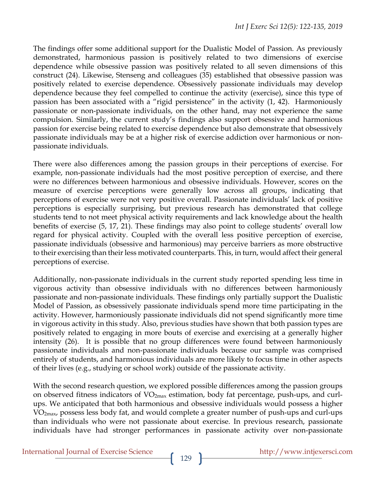The findings offer some additional support for the Dualistic Model of Passion. As previously demonstrated, harmonious passion is positively related to two dimensions of exercise dependence while obsessive passion was positively related to all seven dimensions of this construct (24). Likewise, Stenseng and colleagues (35) established that obsessive passion was positively related to exercise dependence. Obsessively passionate individuals may develop dependence because they feel compelled to continue the activity (exercise), since this type of passion has been associated with a "rigid persistence" in the activity (1, 42). Harmoniously passionate or non-passionate individuals, on the other hand, may not experience the same compulsion. Similarly, the current study's findings also support obsessive and harmonious passion for exercise being related to exercise dependence but also demonstrate that obsessively passionate individuals may be at a higher risk of exercise addiction over harmonious or nonpassionate individuals.

There were also differences among the passion groups in their perceptions of exercise. For example, non-passionate individuals had the most positive perception of exercise, and there were no differences between harmonious and obsessive individuals. However, scores on the measure of exercise perceptions were generally low across all groups, indicating that perceptions of exercise were not very positive overall. Passionate individuals' lack of positive perceptions is especially surprising, but previous research has demonstrated that college students tend to not meet physical activity requirements and lack knowledge about the health benefits of exercise (5, 17, 21). These findings may also point to college students' overall low regard for physical activity. Coupled with the overall less positive perception of exercise, passionate individuals (obsessive and harmonious) may perceive barriers as more obstructive to their exercising than their less motivated counterparts. This, in turn, would affect their general perceptions of exercise.

Additionally, non-passionate individuals in the current study reported spending less time in vigorous activity than obsessive individuals with no differences between harmoniously passionate and non-passionate individuals. These findings only partially support the Dualistic Model of Passion, as obsessively passionate individuals spend more time participating in the activity. However, harmoniously passionate individuals did not spend significantly more time in vigorous activity in this study. Also, previous studies have shown that both passion types are positively related to engaging in more bouts of exercise and exercising at a generally higher intensity (26). It is possible that no group differences were found between harmoniously passionate individuals and non-passionate individuals because our sample was comprised entirely of students, and harmonious individuals are more likely to focus time in other aspects of their lives (e.g., studying or school work) outside of the passionate activity.

With the second research question, we explored possible differences among the passion groups on observed fitness indicators of  $VO<sub>2max</sub>$  estimation, body fat percentage, push-ups, and curlups. We anticipated that both harmonious and obsessive individuals would possess a higher VO2max, possess less body fat, and would complete a greater number of push-ups and curl-ups than individuals who were not passionate about exercise. In previous research, passionate individuals have had stronger performances in passionate activity over non-passionate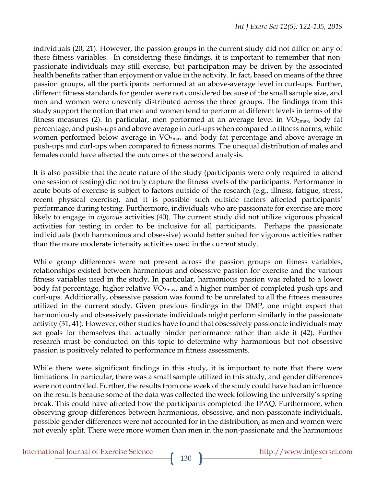individuals (20, 21). However, the passion groups in the current study did not differ on any of these fitness variables. In considering these findings, it is important to remember that nonpassionate individuals may still exercise, but participation may be driven by the associated health benefits rather than enjoyment or value in the activity. In fact, based on means of the three passion groups, all the participants performed at an above-average level in curl-ups. Further, different fitness standards for gender were not considered because of the small sample size, and men and women were unevenly distributed across the three groups. The findings from this study support the notion that men and women tend to perform at different levels in terms of the fitness measures (2). In particular, men performed at an average level in VO<sub>2max</sub>, body fat percentage, and push-ups and above average in curl-ups when compared to fitness norms, while women performed below average in  $VO<sub>2max</sub>$  and body fat percentage and above average in push-ups and curl-ups when compared to fitness norms. The unequal distribution of males and females could have affected the outcomes of the second analysis.

It is also possible that the acute nature of the study (participants were only required to attend one session of testing) did not truly capture the fitness levels of the participants. Performance in acute bouts of exercise is subject to factors outside of the research (e.g., illness, fatigue, stress, recent physical exercise), and it is possible such outside factors affected participants' performance during testing. Furthermore, individuals who are passionate for exercise are more likely to engage in *vigorous* activities (40). The current study did not utilize vigorous physical activities for testing in order to be inclusive for all participants. Perhaps the passionate individuals (both harmonious and obsessive) would better suited for vigorous activities rather than the more moderate intensity activities used in the current study.

While group differences were not present across the passion groups on fitness variables, relationships existed between harmonious and obsessive passion for exercise and the various fitness variables used in the study. In particular, harmonious passion was related to a lower body fat percentage, higher relative  $VO_{2max}$ , and a higher number of completed push-ups and curl-ups. Additionally, obsessive passion was found to be unrelated to all the fitness measures utilized in the current study. Given previous findings in the DMP, one might expect that harmoniously and obsessively passionate individuals might perform similarly in the passionate activity (31, 41). However, other studies have found that obsessively passionate individuals may set goals for themselves that actually hinder performance rather than aide it (42). Further research must be conducted on this topic to determine why harmonious but not obsessive passion is positively related to performance in fitness assessments.

While there were significant findings in this study, it is important to note that there were limitations. In particular, there was a small sample utilized in this study, and gender differences were not controlled. Further, the results from one week of the study could have had an influence on the results because some of the data was collected the week following the university's spring break. This could have affected how the participants completed the IPAQ. Furthermore, when observing group differences between harmonious, obsessive, and non-passionate individuals, possible gender differences were not accounted for in the distribution, as men and women were not evenly split. There were more women than men in the non-passionate and the harmonious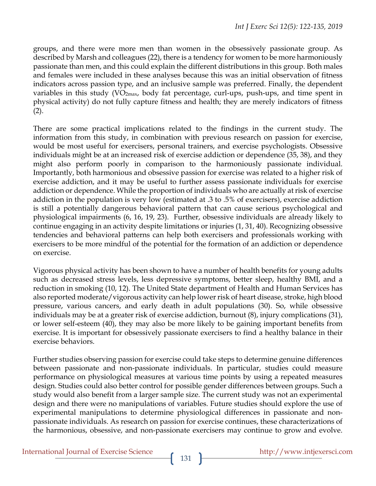groups, and there were more men than women in the obsessively passionate group. As described by Marsh and colleagues (22), there is a tendency for women to be more harmoniously passionate than men, and this could explain the different distributions in this group. Both males and females were included in these analyses because this was an initial observation of fitness indicators across passion type, and an inclusive sample was preferred. Finally, the dependent variables in this study  $(VO_{2max}$ , body fat percentage, curl-ups, push-ups, and time spent in physical activity) do not fully capture fitness and health; they are merely indicators of fitness  $(2).$ 

There are some practical implications related to the findings in the current study. The information from this study, in combination with previous research on passion for exercise, would be most useful for exercisers, personal trainers, and exercise psychologists. Obsessive individuals might be at an increased risk of exercise addiction or dependence (35, 38), and they might also perform poorly in comparison to the harmoniously passionate individual. Importantly, both harmonious and obsessive passion for exercise was related to a higher risk of exercise addiction, and it may be useful to further assess passionate individuals for exercise addiction or dependence. While the proportion of individuals who are actually at risk of exercise addiction in the population is very low (estimated at .3 to .5% of exercisers), exercise addiction is still a potentially dangerous behavioral pattern that can cause serious psychological and physiological impairments (6, 16, 19, 23). Further, obsessive individuals are already likely to continue engaging in an activity despite limitations or injuries (1, 31, 40). Recognizing obsessive tendencies and behavioral patterns can help both exercisers and professionals working with exercisers to be more mindful of the potential for the formation of an addiction or dependence on exercise.

Vigorous physical activity has been shown to have a number of health benefits for young adults such as decreased stress levels, less depressive symptoms, better sleep, healthy BMI, and a reduction in smoking (10, 12). The United State department of Health and Human Services has also reported moderate/vigorous activity can help lower risk of heart disease, stroke, high blood pressure, various cancers, and early death in adult populations (30). So, while obsessive individuals may be at a greater risk of exercise addiction, burnout (8), injury complications (31), or lower self-esteem (40), they may also be more likely to be gaining important benefits from exercise. It is important for obsessively passionate exercisers to find a healthy balance in their exercise behaviors.

Further studies observing passion for exercise could take steps to determine genuine differences between passionate and non-passionate individuals. In particular, studies could measure performance on physiological measures at various time points by using a repeated measures design. Studies could also better control for possible gender differences between groups. Such a study would also benefit from a larger sample size. The current study was not an experimental design and there were no manipulations of variables. Future studies should explore the use of experimental manipulations to determine physiological differences in passionate and nonpassionate individuals. As research on passion for exercise continues, these characterizations of the harmonious, obsessive, and non-passionate exercisers may continue to grow and evolve.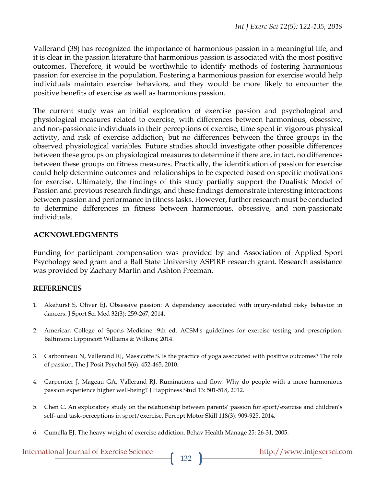Vallerand (38) has recognized the importance of harmonious passion in a meaningful life, and it is clear in the passion literature that harmonious passion is associated with the most positive outcomes. Therefore, it would be worthwhile to identify methods of fostering harmonious passion for exercise in the population. Fostering a harmonious passion for exercise would help individuals maintain exercise behaviors, and they would be more likely to encounter the positive benefits of exercise as well as harmonious passion.

The current study was an initial exploration of exercise passion and psychological and physiological measures related to exercise, with differences between harmonious, obsessive, and non-passionate individuals in their perceptions of exercise, time spent in vigorous physical activity, and risk of exercise addiction, but no differences between the three groups in the observed physiological variables. Future studies should investigate other possible differences between these groups on physiological measures to determine if there are, in fact, no differences between these groups on fitness measures. Practically, the identification of passion for exercise could help determine outcomes and relationships to be expected based on specific motivations for exercise. Ultimately, the findings of this study partially support the Dualistic Model of Passion and previous research findings, and these findings demonstrate interesting interactions between passion and performance in fitness tasks. However, further research must be conducted to determine differences in fitness between harmonious, obsessive, and non-passionate individuals.

#### **ACKNOWLEDGMENTS**

Funding for participant compensation was provided by and Association of Applied Sport Psychology seed grant and a Ball State University ASPIRE research grant. Research assistance was provided by Zachary Martin and Ashton Freeman.

# **REFERENCES**

- 1. Akehurst S, Oliver EJ. Obsessive passion: A dependency associated with injury-related risky behavior in dancers. J Sport Sci Med 32(3): 259-267, 2014.
- 2. American College of Sports Medicine. 9th ed. ACSM's guidelines for exercise testing and prescription. Baltimore: Lippincott Williams & Wilkins; 2014.
- 3. Carbonneau N, Vallerand RJ, Massicotte S. Is the practice of yoga associated with positive outcomes? The role of passion. The J Posit Psychol 5(6): 452-465, 2010.
- 4. Carpentier J, Mageau GA, Vallerand RJ. Ruminations and flow: Why do people with a more harmonious passion experience higher well-being? J Happiness Stud 13: 501-518, 2012.
- 5. Chen C. An exploratory study on the relationship between parents' passion for sport/exercise and children's self- and task-perceptions in sport/exercise. Percept Motor Skill 118(3): 909-925, 2014.
- 6. Cumella EJ. The heavy weight of exercise addiction. Behav Health Manage 25: 26-31, 2005.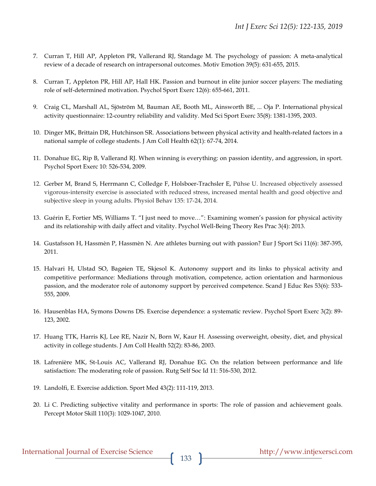- 7. Curran T, Hill AP, Appleton PR, Vallerand RJ, Standage M. The psychology of passion: A meta-analytical review of a decade of research on intrapersonal outcomes. Motiv Emotion 39(5): 631-655, 2015.
- 8. Curran T, Appleton PR, Hill AP, Hall HK. Passion and burnout in elite junior soccer players: The mediating role of self-determined motivation. Psychol Sport Exerc 12(6): 655-661, 2011.
- 9. Craig CL, Marshall AL, Sjöström M, Bauman AE, Booth ML, Ainsworth BE, ... Oja P. International physical activity questionnaire: 12-country reliability and validity. Med Sci Sport Exerc 35(8): 1381-1395, 2003.
- 10. Dinger MK, Brittain DR, Hutchinson SR. Associations between physical activity and health-related factors in a national sample of college students. J Am Coll Health 62(1): 67-74, 2014.
- 11. Donahue EG, Rip B, Vallerand RJ. When winning is everything: on passion identity, and aggression, in sport. Psychol Sport Exerc 10: 526-534, 2009.
- 12. Gerber M, Brand S, Herrmann C, Colledge F, Holsboer-Trachsler E, Pühse U. Increased objectively assessed vigorous-intensity exercise is associated with reduced stress, increased mental health and good objective and subjective sleep in young adults. Physiol Behav 135: 17-24, 2014.
- 13. Guérin E, Fortier MS, Williams T. "I just need to move…": Examining women's passion for physical activity and its relationship with daily affect and vitality. Psychol Well-Being Theory Res Prac 3(4): 2013.
- 14. Gustafsson H, Hassmèn P, Hassmèn N. Are athletes burning out with passion? Eur J Sport Sci 11(6): 387-395, 2011.
- 15. Halvari H, Ulstad SO, Bagøien TE, Skjesol K. Autonomy support and its links to physical activity and competitive performance: Mediations through motivation, competence, action orientation and harmonious passion, and the moderator role of autonomy support by perceived competence. Scand J Educ Res 53(6): 533- 555, 2009.
- 16. Hausenblas HA, Symons Downs DS. Exercise dependence: a systematic review. Psychol Sport Exerc 3(2): 89- 123, 2002.
- 17. Huang TTK, Harris KJ, Lee RE, Nazir N, Born W, Kaur H. Assessing overweight, obesity, diet, and physical activity in college students. J Am Coll Health 52(2): 83-86, 2003.
- 18. Lafrenière MK, St-Louis AC, Vallerand RJ, Donahue EG. On the relation between performance and life satisfaction: The moderating role of passion. Rutg Self Soc Id 11: 516-530, 2012.
- 19. Landolfi, E. Exercise addiction. Sport Med 43(2): 111-119, 2013.
- 20. Li C. Predicting subjective vitality and performance in sports: The role of passion and achievement goals. Percept Motor Skill 110(3): 1029-1047, 2010.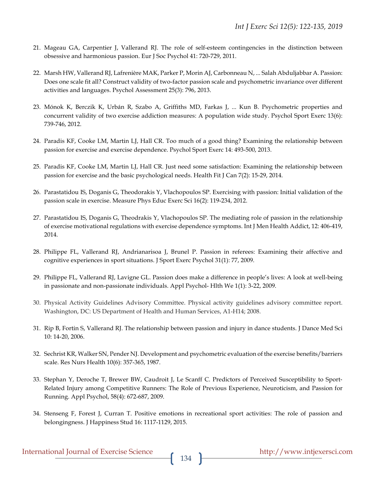- 21. Mageau GA, Carpentier J, Vallerand RJ. The role of self-esteem contingencies in the distinction between obsessive and harmonious passion. Eur J Soc Psychol 41: 720-729, 2011.
- 22. Marsh HW, Vallerand RJ, Lafrenière MAK, Parker P, Morin AJ, Carbonneau N, ... Salah Abduljabbar A. Passion: Does one scale fit all? Construct validity of two-factor passion scale and psychometric invariance over different activities and languages. Psychol Assessment 25(3): 796, 2013.
- 23. Mónok K, Berczik K, Urbán R, Szabo A, Griffiths MD, Farkas J, ... Kun B. Psychometric properties and concurrent validity of two exercise addiction measures: A population wide study. Psychol Sport Exerc 13(6): 739-746, 2012.
- 24. Paradis KF, Cooke LM, Martin LJ, Hall CR. Too much of a good thing? Examining the relationship between passion for exercise and exercise dependence. Psychol Sport Exerc 14: 493-500, 2013.
- 25. Paradis KF, Cooke LM, Martin LJ, Hall CR. Just need some satisfaction: Examining the relationship between passion for exercise and the basic psychological needs. Health Fit J Can 7(2): 15-29, 2014.
- 26. Parastatidou IS, Doganis G, Theodorakis Y, Vlachopoulos SP. Exercising with passion: Initial validation of the passion scale in exercise. Measure Phys Educ Exerc Sci 16(2): 119-234, 2012.
- 27. Parastatidou IS, Doganis G, Theodrakis Y, Vlachopoulos SP. The mediating role of passion in the relationship of exercise motivational regulations with exercise dependence symptoms. Int J Men Health Addict, 12: 406-419, 2014.
- 28. Philippe FL, Vallerand RJ, Andrianarisoa J, Brunel P. Passion in referees: Examining their affective and cognitive experiences in sport situations. J Sport Exerc Psychol 31(1): 77, 2009.
- 29. Philippe FL, Vallerand RJ, Lavigne GL. Passion does make a difference in people's lives: A look at well-being in passionate and non-passionate individuals. Appl Psychol- Hlth We 1(1): 3-22, 2009.
- 30. Physical Activity Guidelines Advisory Committee. Physical activity guidelines advisory committee report. Washington, DC: US Department of Health and Human Services, A1-H14; 2008.
- 31. Rip B, Fortin S, Vallerand RJ. The relationship between passion and injury in dance students. J Dance Med Sci 10: 14-20, 2006.
- 32. Sechrist KR, Walker SN, Pender NJ. Development and psychometric evaluation of the exercise benefits/barriers scale. Res Nurs Health 10(6): 357-365, 1987.
- 33. Stephan Y, Deroche T, Brewer BW, Caudroit J, Le Scanff C. Predictors of Perceived Susceptibility to Sport-Related Injury among Competitive Runners: The Role of Previous Experience, Neuroticism, and Passion for Running. Appl Psychol, 58(4): 672-687, 2009.
- 34. Stenseng F, Forest J, Curran T. Positive emotions in recreational sport activities: The role of passion and belongingness. J Happiness Stud 16: 1117-1129, 2015.